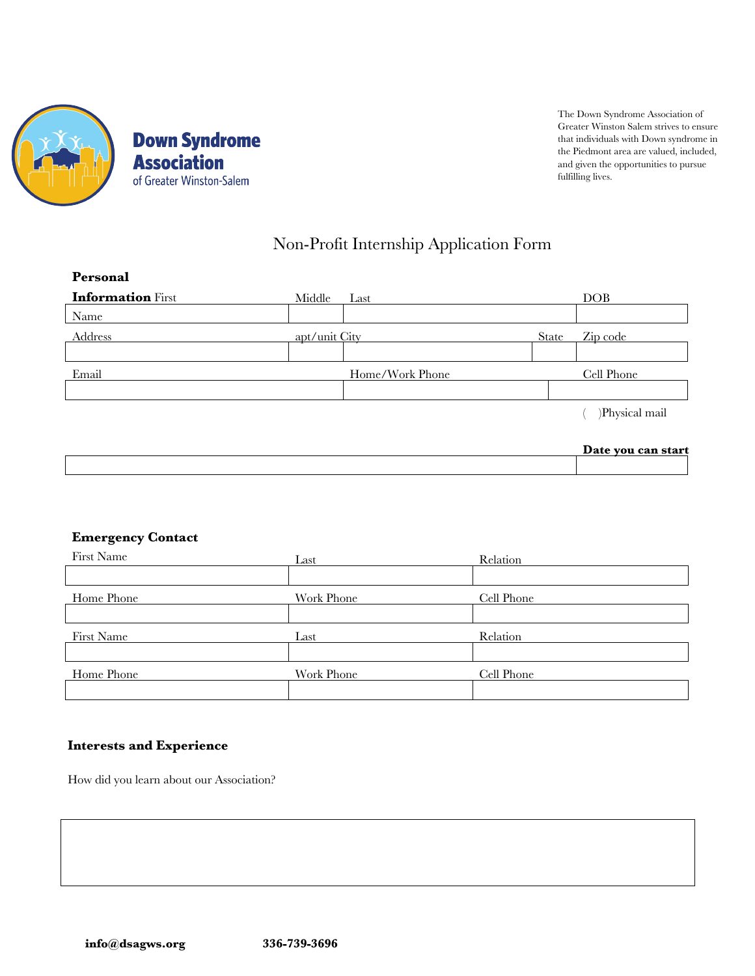

The Down Syndrome Association of Greater Winston Salem strives to ensure that individuals with Down syndrome in the Piedmont area are valued, included, and given the opportunities to pursue fulfilling lives.

# Non-Profit Internship Application Form

| Personal                 |               |                 |       |                    |
|--------------------------|---------------|-----------------|-------|--------------------|
| <b>Information First</b> | Middle        | Last            |       | DOB                |
| Name                     |               |                 |       |                    |
| <b>Address</b>           | apt/unit City |                 | State | Zip code           |
|                          |               |                 |       |                    |
| Email                    |               | Home/Work Phone |       | Cell Phone         |
|                          |               |                 |       |                    |
|                          |               |                 |       | )Physical mail     |
|                          |               |                 |       | Date you can start |
|                          |               |                 |       |                    |

## **Emergency Contact**

| First Name | Last       | Relation   |
|------------|------------|------------|
|            |            |            |
| Home Phone | Work Phone | Cell Phone |
|            |            |            |
| First Name | Last       | Relation   |
|            |            |            |
| Home Phone | Work Phone | Cell Phone |
|            |            |            |

## **Interests and Experience**

How did you learn about our Association?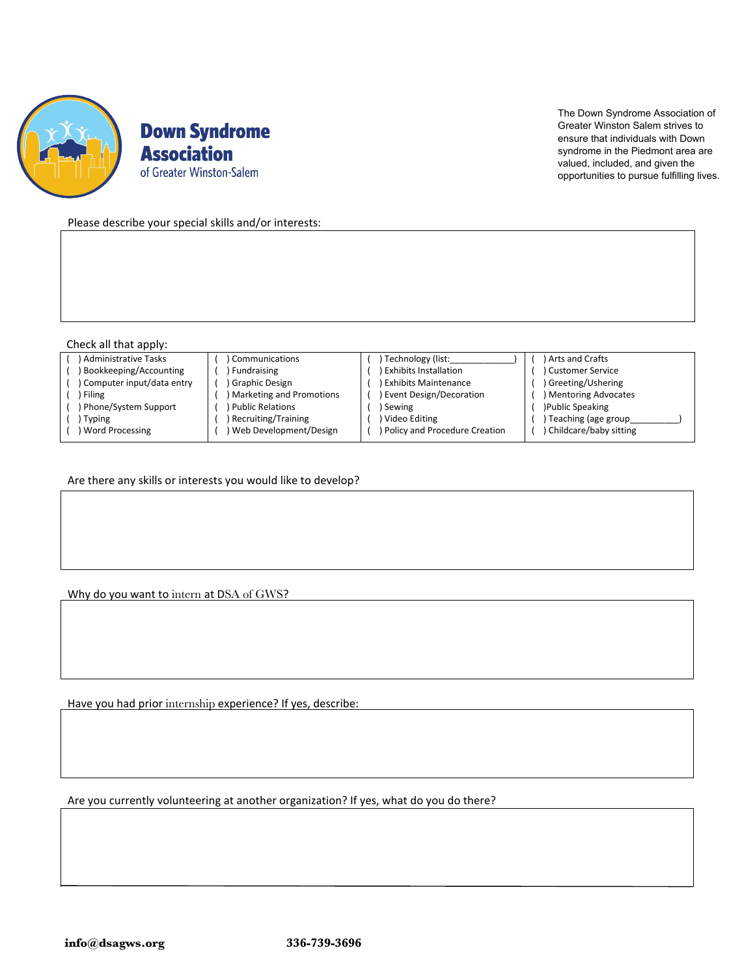

**Down Syndrome Association** of Greater Winston-Salem

The Down Syndrome Association of Greater Winston Salem strives to ensure that individuals with Down syndrome in the Piedmont area are valued, included, and given the opportunities to pursue fulfilling lives.

Please describe your special skills and/or interests:

#### Check all that apply:

| ) Administrative Tasks    | <b>Communications</b>    | Technology (list:             | Arts and Crafts          |
|---------------------------|--------------------------|-------------------------------|--------------------------|
| Bookkeeping/Accounting    | Fundraising              | <b>Exhibits Installation</b>  | Customer Service         |
| Computer input/data entry | Graphic Design           | <b>Exhibits Maintenance</b>   | ) Greeting/Ushering      |
| Filing                    | Marketing and Promotions | Event Design/Decoration       | ) Mentoring Advocates    |
| ) Phone/System Support    | Public Relations         | Sewing                        | )Public Speaking         |
| Typing                    | Recruiting/Training      | Video Editing                 | Teaching (age group      |
| Word Processing           | Web Development/Design   | Policy and Procedure Creation | ) Childcare/baby sitting |

Are there any skills or interests you would like to develop?

Why do you want to intern at DSA of GWS?

Have you had prior internship experience? If yes, describe:

Are you currently volunteering at another organization? If yes, what do you do there?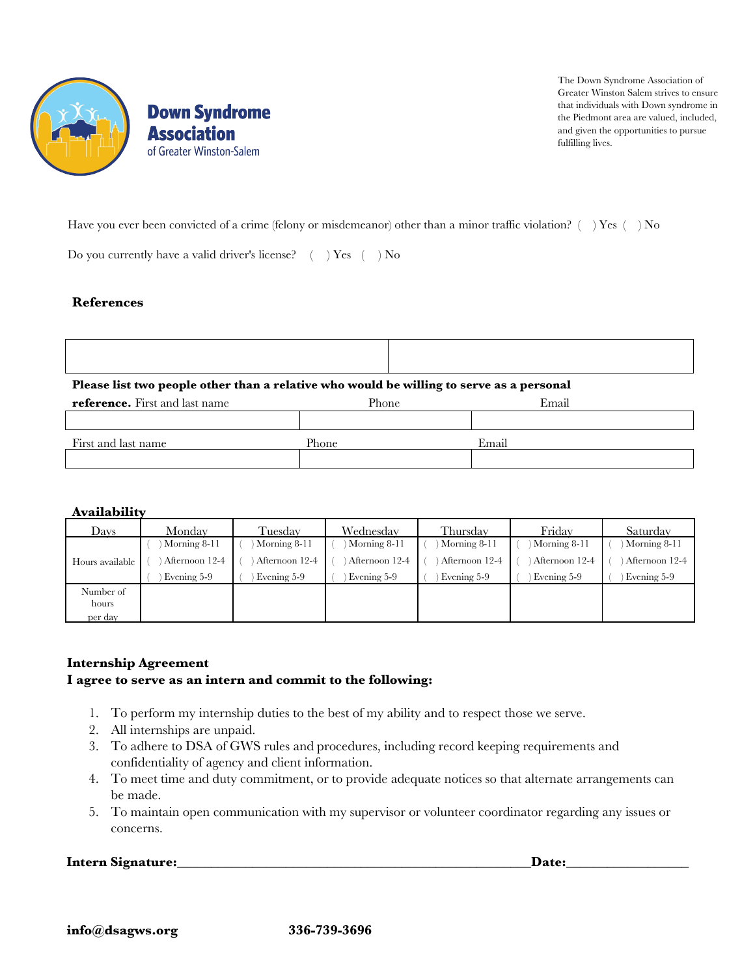

**Down Syndrome Association** of Greater Winston-Salem

The Down Syndrome Association of Greater Winston Salem strives to ensure that individuals with Down syndrome in the Piedmont area are valued, included, and given the opportunities to pursue fulfilling lives.

٦

Have you ever been convicted of a crime (felony or misdemeanor) other than a minor traffic violation?  $($ ) Yes  $($ ) No

Do you currently have a valid driver's license?  $( )$  Yes  $( )$  No

## **References**

Г

|                          |  | Please list two people other than a relative who would be willing to serve as a personal |  |
|--------------------------|--|------------------------------------------------------------------------------------------|--|
| $\overline{\phantom{a}}$ |  |                                                                                          |  |

| <b>reference.</b> First and last name | Phone | Email |
|---------------------------------------|-------|-------|
|                                       |       |       |
| First and last name                   | Phone | Email |
|                                       |       |       |

## **Availability**

| Davs             | Mondav         | Tuesdav        | Wednesday      | Thursdav       | Fridav         | Saturday       |
|------------------|----------------|----------------|----------------|----------------|----------------|----------------|
|                  | Morning 8-11   | Morning 8-11   | Morning 8-11   | Morning 8-11   | Morning 8-11   | Morning 8-11   |
| Hours available  | Afternoon 12-4 | Afternoon 12-4 | Afternoon 12-4 | Afternoon 12-4 | Afternoon 12-4 | Afternoon 12-4 |
|                  | Evening 5-9    | Evening 5-9    | Evening 5-9    | Evening 5-9    | Evening 5-9    | Evening 5-9    |
| Number of        |                |                |                |                |                |                |
| hours<br>per day |                |                |                |                |                |                |

## **Internship Agreement**

## **I agree to serve as an intern and commit to the following:**

- 1. To perform my internship duties to the best of my ability and to respect those we serve.
- 2. All internships are unpaid.
- 3. To adhere to DSA of GWS rules and procedures, including record keeping requirements and confidentiality of agency and client information.
- 4. To meet time and duty commitment, or to provide adequate notices so that alternate arrangements can be made.
- 5. To maintain open communication with my supervisor or volunteer coordinator regarding any issues or concerns.

**Intern Signature:** The contract of the contract of the contract of the contract of the contract of the contract of the contract of the contract of the contract of the contract of the contract of the contract of the contra